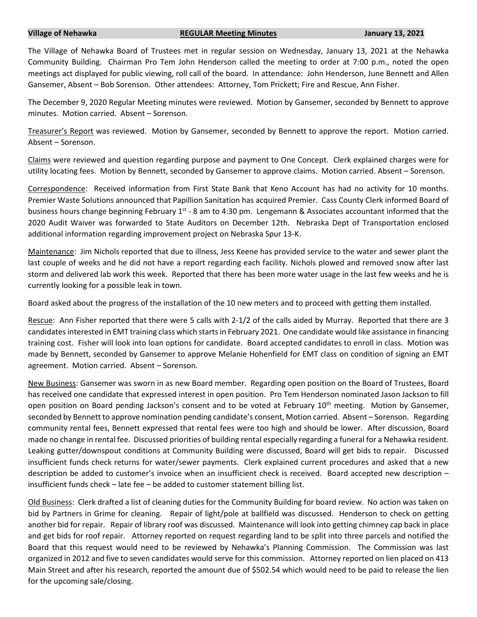## **Village of Nehawka REGULAR Meeting Minutes January 13, 2021**

The Village of Nehawka Board of Trustees met in regular session on Wednesday, January 13, 2021 at the Nehawka Community Building. Chairman Pro Tem John Henderson called the meeting to order at 7:00 p.m., noted the open meetings act displayed for public viewing, roll call of the board. In attendance: John Henderson, June Bennett and Allen Gansemer, Absent – Bob Sorenson. Other attendees: Attorney, Tom Prickett; Fire and Rescue, Ann Fisher.

The December 9, 2020 Regular Meeting minutes were reviewed. Motion by Gansemer, seconded by Bennett to approve minutes. Motion carried. Absent – Sorenson.

Treasurer's Report was reviewed. Motion by Gansemer, seconded by Bennett to approve the report. Motion carried. Absent – Sorenson.

Claims were reviewed and question regarding purpose and payment to One Concept. Clerk explained charges were for utility locating fees. Motion by Bennett, seconded by Gansemer to approve claims. Motion carried. Absent – Sorenson.

Correspondence: Received information from First State Bank that Keno Account has had no activity for 10 months. Premier Waste Solutions announced that Papillion Sanitation has acquired Premier. Cass County Clerk informed Board of business hours change beginning February 1<sup>st</sup> - 8 am to 4:30 pm. Lengemann & Associates accountant informed that the 2020 Audit Waiver was forwarded to State Auditors on December 12th. Nebraska Dept of Transportation enclosed additional information regarding improvement project on Nebraska Spur 13-K.

Maintenance: Jim Nichols reported that due to illness, Jess Keene has provided service to the water and sewer plant the last couple of weeks and he did not have a report regarding each facility. Nichols plowed and removed snow after last storm and delivered lab work this week. Reported that there has been more water usage in the last few weeks and he is currently looking for a possible leak in town.

Board asked about the progress of the installation of the 10 new meters and to proceed with getting them installed.

Rescue: Ann Fisher reported that there were 5 calls with 2-1/2 of the calls aided by Murray. Reported that there are 3 candidatesinterested in EMT training class which starts in February 2021. One candidate would like assistance in financing training cost. Fisher will look into loan options for candidate. Board accepted candidates to enroll in class. Motion was made by Bennett, seconded by Gansemer to approve Melanie Hohenfield for EMT class on condition of signing an EMT agreement. Motion carried. Absent – Sorenson.

New Business: Gansemer was sworn in as new Board member. Regarding open position on the Board of Trustees, Board has received one candidate that expressed interest in open position. Pro Tem Henderson nominated Jason Jackson to fill open position on Board pending Jackson's consent and to be voted at February 10<sup>th</sup> meeting. Motion by Gansemer, seconded by Bennett to approve nomination pending candidate's consent, Motion carried. Absent – Sorenson. Regarding community rental fees, Bennett expressed that rental fees were too high and should be lower. After discussion, Board made no change in rental fee. Discussed priorities of building rental especially regarding a funeral for a Nehawka resident. Leaking gutter/downspout conditions at Community Building were discussed, Board will get bids to repair. Discussed insufficient funds check returns for water/sewer payments. Clerk explained current procedures and asked that a new description be added to customer's invoice when an insufficient check is received. Board accepted new description – insufficient funds check – late fee – be added to customer statement billing list.

Old Business: Clerk drafted a list of cleaning duties for the Community Building for board review. No action was taken on bid by Partners in Grime for cleaning. Repair of light/pole at ballfield was discussed. Henderson to check on getting another bid for repair. Repair of library roof was discussed. Maintenance will look into getting chimney cap back in place and get bids for roof repair. Attorney reported on request regarding land to be split into three parcels and notified the Board that this request would need to be reviewed by Nehawka's Planning Commission. The Commission was last organized in 2012 and five to seven candidates would serve for this commission. Attorney reported on lien placed on 413 Main Street and after his research, reported the amount due of \$502.54 which would need to be paid to release the lien for the upcoming sale/closing.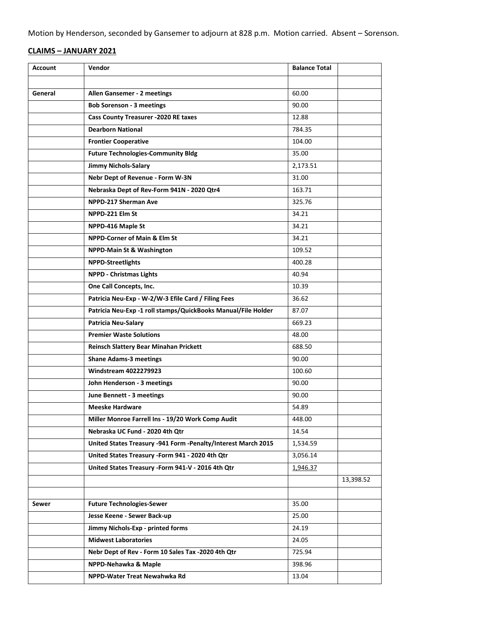Motion by Henderson, seconded by Gansemer to adjourn at 828 p.m. Motion carried. Absent – Sorenson.

## **CLAIMS – JANUARY 2021**

| <b>Account</b> | Vendor                                                        | <b>Balance Total</b> |           |
|----------------|---------------------------------------------------------------|----------------------|-----------|
|                |                                                               |                      |           |
| General        | Allen Gansemer - 2 meetings                                   | 60.00                |           |
|                | <b>Bob Sorenson - 3 meetings</b>                              | 90.00                |           |
|                | <b>Cass County Treasurer -2020 RE taxes</b>                   | 12.88                |           |
|                | <b>Dearborn National</b>                                      | 784.35               |           |
|                | <b>Frontier Cooperative</b>                                   | 104.00               |           |
|                | <b>Future Technologies-Community Bldg</b>                     | 35.00                |           |
|                | <b>Jimmy Nichols-Salary</b>                                   | 2,173.51             |           |
|                | Nebr Dept of Revenue - Form W-3N                              | 31.00                |           |
|                | Nebraska Dept of Rev-Form 941N - 2020 Qtr4                    | 163.71               |           |
|                | NPPD-217 Sherman Ave                                          | 325.76               |           |
|                | NPPD-221 Elm St                                               | 34.21                |           |
|                | NPPD-416 Maple St                                             | 34.21                |           |
|                | <b>NPPD-Corner of Main &amp; Elm St</b>                       | 34.21                |           |
|                | <b>NPPD-Main St &amp; Washington</b>                          | 109.52               |           |
|                | <b>NPPD-Streetlights</b>                                      | 400.28               |           |
|                | <b>NPPD - Christmas Lights</b>                                | 40.94                |           |
|                | One Call Concepts, Inc.                                       | 10.39                |           |
|                | Patricia Neu-Exp - W-2/W-3 Efile Card / Filing Fees           | 36.62                |           |
|                | Patricia Neu-Exp -1 roll stamps/QuickBooks Manual/File Holder | 87.07                |           |
|                | <b>Patricia Neu-Salary</b>                                    | 669.23               |           |
|                | <b>Premier Waste Solutions</b>                                | 48.00                |           |
|                | Reinsch Slattery Bear Minahan Prickett                        | 688.50               |           |
|                | <b>Shane Adams-3 meetings</b>                                 | 90.00                |           |
|                | <b>Windstream 4022279923</b>                                  | 100.60               |           |
|                | John Henderson - 3 meetings                                   | 90.00                |           |
|                | June Bennett - 3 meetings                                     | 90.00                |           |
|                | <b>Meeske Hardware</b>                                        | 54.89                |           |
|                | Miller Monroe Farrell Ins - 19/20 Work Comp Audit             | 448.00               |           |
|                | Nebraska UC Fund - 2020 4th Qtr                               | 14.54                |           |
|                | United States Treasury -941 Form -Penalty/Interest March 2015 | 1,534.59             |           |
|                | United States Treasury - Form 941 - 2020 4th Qtr              | 3,056.14             |           |
|                | United States Treasury - Form 941-V - 2016 4th Qtr            | 1,946.37             |           |
|                |                                                               |                      | 13,398.52 |
|                |                                                               |                      |           |
| Sewer          | <b>Future Technologies-Sewer</b>                              | 35.00                |           |
|                | Jesse Keene - Sewer Back-up                                   | 25.00                |           |
|                | Jimmy Nichols-Exp - printed forms                             | 24.19                |           |
|                | <b>Midwest Laboratories</b>                                   | 24.05                |           |
|                | Nebr Dept of Rev - Form 10 Sales Tax -2020 4th Qtr            | 725.94               |           |
|                | NPPD-Nehawka & Maple                                          | 398.96               |           |
|                | NPPD-Water Treat Newahwka Rd                                  | 13.04                |           |